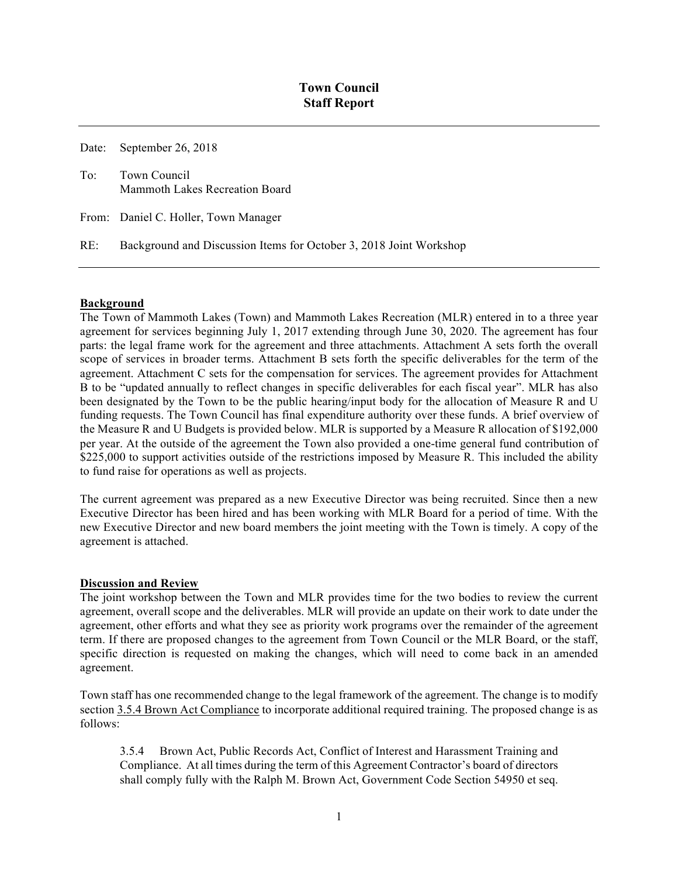Date: September 26, 2018

To: Town Council Mammoth Lakes Recreation Board

From: Daniel C. Holler, Town Manager

RE: Background and Discussion Items for October 3, 2018 Joint Workshop

## **Background**

The Town of Mammoth Lakes (Town) and Mammoth Lakes Recreation (MLR) entered in to a three year agreement for services beginning July 1, 2017 extending through June 30, 2020. The agreement has four parts: the legal frame work for the agreement and three attachments. Attachment A sets forth the overall scope of services in broader terms. Attachment B sets forth the specific deliverables for the term of the agreement. Attachment C sets for the compensation for services. The agreement provides for Attachment B to be "updated annually to reflect changes in specific deliverables for each fiscal year". MLR has also been designated by the Town to be the public hearing/input body for the allocation of Measure R and U funding requests. The Town Council has final expenditure authority over these funds. A brief overview of the Measure R and U Budgets is provided below. MLR is supported by a Measure R allocation of \$192,000 per year. At the outside of the agreement the Town also provided a one-time general fund contribution of \$225,000 to support activities outside of the restrictions imposed by Measure R. This included the ability to fund raise for operations as well as projects.

The current agreement was prepared as a new Executive Director was being recruited. Since then a new Executive Director has been hired and has been working with MLR Board for a period of time. With the new Executive Director and new board members the joint meeting with the Town is timely. A copy of the agreement is attached.

## **Discussion and Review**

The joint workshop between the Town and MLR provides time for the two bodies to review the current agreement, overall scope and the deliverables. MLR will provide an update on their work to date under the agreement, other efforts and what they see as priority work programs over the remainder of the agreement term. If there are proposed changes to the agreement from Town Council or the MLR Board, or the staff, specific direction is requested on making the changes, which will need to come back in an amended agreement.

Town staff has one recommended change to the legal framework of the agreement. The change is to modify section 3.5.4 Brown Act Compliance to incorporate additional required training. The proposed change is as follows:

3.5.4 Brown Act, Public Records Act, Conflict of Interest and Harassment Training and Compliance. At all times during the term of this Agreement Contractor's board of directors shall comply fully with the Ralph M. Brown Act, Government Code Section 54950 et seq.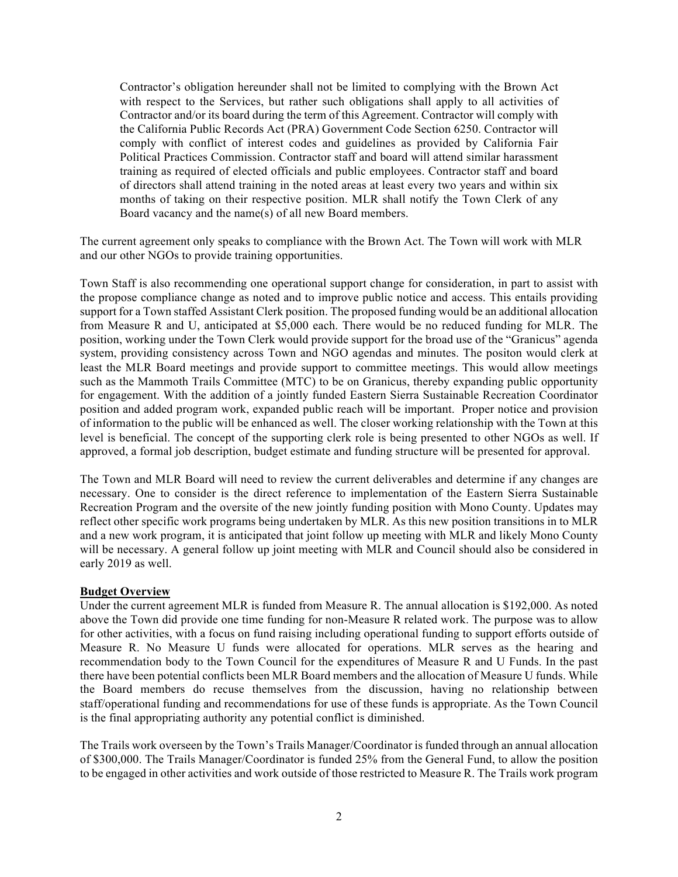Contractor's obligation hereunder shall not be limited to complying with the Brown Act with respect to the Services, but rather such obligations shall apply to all activities of Contractor and/or its board during the term of this Agreement. Contractor will comply with the California Public Records Act (PRA) Government Code Section 6250. Contractor will comply with conflict of interest codes and guidelines as provided by California Fair Political Practices Commission. Contractor staff and board will attend similar harassment training as required of elected officials and public employees. Contractor staff and board of directors shall attend training in the noted areas at least every two years and within six months of taking on their respective position. MLR shall notify the Town Clerk of any Board vacancy and the name(s) of all new Board members.

The current agreement only speaks to compliance with the Brown Act. The Town will work with MLR and our other NGOs to provide training opportunities.

Town Staff is also recommending one operational support change for consideration, in part to assist with the propose compliance change as noted and to improve public notice and access. This entails providing support for a Town staffed Assistant Clerk position. The proposed funding would be an additional allocation from Measure R and U, anticipated at \$5,000 each. There would be no reduced funding for MLR. The position, working under the Town Clerk would provide support for the broad use of the "Granicus" agenda system, providing consistency across Town and NGO agendas and minutes. The positon would clerk at least the MLR Board meetings and provide support to committee meetings. This would allow meetings such as the Mammoth Trails Committee (MTC) to be on Granicus, thereby expanding public opportunity for engagement. With the addition of a jointly funded Eastern Sierra Sustainable Recreation Coordinator position and added program work, expanded public reach will be important. Proper notice and provision of information to the public will be enhanced as well. The closer working relationship with the Town at this level is beneficial. The concept of the supporting clerk role is being presented to other NGOs as well. If approved, a formal job description, budget estimate and funding structure will be presented for approval.

The Town and MLR Board will need to review the current deliverables and determine if any changes are necessary. One to consider is the direct reference to implementation of the Eastern Sierra Sustainable Recreation Program and the oversite of the new jointly funding position with Mono County. Updates may reflect other specific work programs being undertaken by MLR. As this new position transitions in to MLR and a new work program, it is anticipated that joint follow up meeting with MLR and likely Mono County will be necessary. A general follow up joint meeting with MLR and Council should also be considered in early 2019 as well.

## **Budget Overview**

Under the current agreement MLR is funded from Measure R. The annual allocation is \$192,000. As noted above the Town did provide one time funding for non-Measure R related work. The purpose was to allow for other activities, with a focus on fund raising including operational funding to support efforts outside of Measure R. No Measure U funds were allocated for operations. MLR serves as the hearing and recommendation body to the Town Council for the expenditures of Measure R and U Funds. In the past there have been potential conflicts been MLR Board members and the allocation of Measure U funds. While the Board members do recuse themselves from the discussion, having no relationship between staff/operational funding and recommendations for use of these funds is appropriate. As the Town Council is the final appropriating authority any potential conflict is diminished.

The Trails work overseen by the Town's Trails Manager/Coordinator is funded through an annual allocation of \$300,000. The Trails Manager/Coordinator is funded 25% from the General Fund, to allow the position to be engaged in other activities and work outside of those restricted to Measure R. The Trails work program